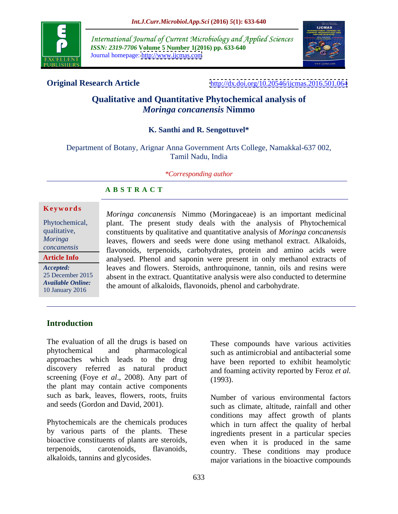

International Journal of Current Microbiology and Applied Sciences *ISSN: 2319-7706* **Volume 5 Number 1(2016) pp. 633-640** Journal homepage: <http://www.ijcmas.com>



**Original Research Article** <http://dx.doi.org/10.20546/ijcmas.2016.501.064>

# **Qualitative and Quantitative Phytochemical analysis of**  *Moringa concanensis* **Nimmo**

### **K. Santhi and R. Sengottuvel\***

Department of Botany, Arignar Anna Government Arts College, Namakkal-637 002, Tamil Nadu, India

*\*Corresponding author*

## **A B S T R A C T**

**Article Info**

*Moringa concanensis* Nimmo (Moringaceae) is an important medicinal Phytochemical, plant. The present study deals with the analysis of Phytochemical constituents by qualitative and quantitative analysis of *Moringa concanensis* qualitative, leaves, flowers and seeds were done using methanol extract. Alkaloids, *Moringa*  flavonoids, terpenoids, carbohydrates, protein and amino acids were *concanensis* analysed. Phenol and saponin were present in only methanol extracts of leaves and flowers. Steroids, anthroquinone, tannin, oils and resins were *Accepted:*  25 December 2015 absent in the extract. Quantitative analysis were also conducted to determine Available Online:<br>10 January 2016 **Ke ywo rds** 10 January 2016 the union of underlying, the colored, pricing and carbony drate.

# **Introduction**

The evaluation of all the drugs is based on phytochemical and pharmacological such as antimicrobial and antibacterial some approaches which leads to the drug discovery referred as natural product screening (Foye *et al*., 2008). Any part of the plant may contain active components such as bark, leaves, flowers, roots, fruits

Phytochemicals are the chemicals produces by various parts of the plants. These bioactive constituents of plants are steroids,

These compounds have various activities have been reported to exhibit heamolytic and foaming activity reported by Feroz *et al.* (1993).

and seeds (Gordon and David, 2001). such as climate, altitude, rainfall and other terpenoids, carotenoids, flavanoids, country. These conditions may produce alkaloids, tannins and glycosides. major variations in the bioactive compounds Number of various environmental factors conditions may affect growth of plants which in turn affect the quality of herbal ingredients present in a particular species even when it is produced in the same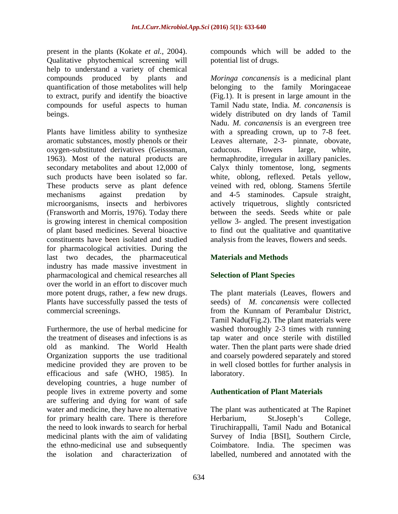present in the plants (Kokate *et al.,* 2004). compounds which will be added to the Qualitative phytochemical screening will help to understand a variety of chemical

oxygen-substituted derivatives (Geisssman, constituents have been isolated and studied for pharmacological activities. During the last two decades, the pharmaceutical industry has made massive investment in pharmacological and chemical researches all over the world in an effort to discover much more potent drugs, rather, a few new drugs. Plants have successfully passed the tests of

Furthermore, the use of herbal medicine for washed thoroughly 2-3 times with running the treatment of diseases and infections is as tap water and once sterile with distilled old as mankind. The World Health water. Then the plant parts were shade dried Organization supports the use traditional and coarsely powdered separately and stored medicine provided they are proven to be in well closed bottles for further analysis in efficacious and safe (WHO, 1985). In developing countries, a huge number of people lives in extreme poverty and some **Authentication of Plant Materials** are suffering and dying for want of safe water and medicine, they have no alternative The plant was authenticated at The Rapinet for primary health care. There is therefore Herbarium, St.Joseph's College, the need to look inwards to search for herbal Tiruchirappalli, Tamil Nadu and Botanical medicinal plants with the aim of validating Survey of India [BSI], Southern Circle, the ethno-medicinal use and subsequently Coimbatore. India. The specimen was

potential list of drugs.

compounds produced by plants and *Moringa concanensis* is a medicinal plant quantification of those metabolites will help belonging to the family Moringaceae to extract, purify and identify the bioactive (Fig.1). It is present in large amount in the compounds for useful aspects to human Tamil Nadu state, India. *M. concanensis* is beings. widely distributed on dry lands of Tamil Plants have limitless ability to synthesize with a spreading crown, up to 7-8 feet. aromatic substances, mostly phenols or their Leaves alternate, 2-3- pinnate, obovate, 1963). Most of the natural products are hermaphrodite, irregular in axillary panicles. secondary metabolites and about 12,000 of Calyx thinly tomentose, long, segments such products have been isolated so far. white, oblong, reflexed. Petals yellow, These products serve as plant defence veined with red, oblong. Stamens 5fertile mechanisms against predation by and 4-5 staminodes. Capsule straight, microorganisms, insects and herbivores actively triquetrous, slightly contsricted (Fransworth and Morris, 1976). Today there between the seeds. Seeds white or pale is growing interest in chemical composition yellow 3- angled. The present investigation of plant based medicines. Several bioactive to find out the qualitative and quantitative Nadu. *M. concanensis* is an evergreen tree caducous. Flowers large, white, analysis from the leaves, flowers and seeds.

## **Materials and Methods**

### **Selection of Plant Species**

commercial screenings. from the Kunnam of Perambalur District, The plant materials (Leaves, flowers and seeds) of *M. concanensis* were collected Tamil Nadu(Fig.2). The plant materials were laboratory.

the isolation and characterization of labelled, numbered and annotated with the**Authentication of Plant Materials** The plant was authenticated at The Rapinet Herbarium, St.Joseph's College,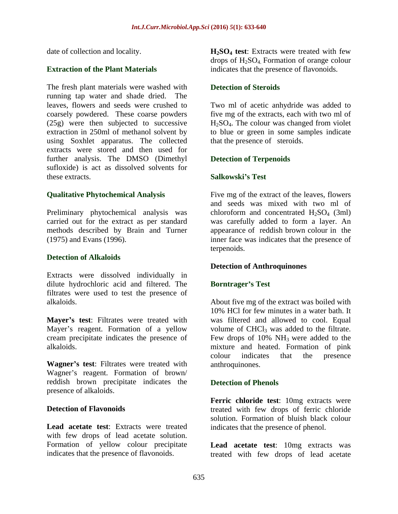The fresh plant materials were washed with **Detection of Steroids** running tap water and shade dried. The leaves, flowers and seeds were crushed to Two ml of acetic anhydride was added to coarsely powdered. These coarse powders five mg of the extracts, each with two ml of (25g) were then subjected to successive  $H_2SO_4$ . The colour was changed from violet extraction in 250ml of methanol solvent by to blue or green in some samples indicate using Soxhlet apparatus. The collected extracts were stored and then used for further analysis. The DMSO (Dimethyl sufloxide) is act as dissolved solvents for these extracts **these extracts** and the set of the set of the set of the set of the set of the set of the set of the set of the set of the set of the set of the set of the set of the set of the set of the set of the set of

Preliminary phytochemical analysis was chloroform and concentrated  $H_2SO_4$  (3ml)

### **Detection of Alkaloids**

Extracts were dissolved individually in dilute hydrochloric acid and filtered. The **Borntrager's Test** filtrates were used to test the presence of

**Mayer's test:** Filtrates were treated with Mayer's reagent. Formation of a yellow volume of CHCl<sub>3</sub> was added to the filtrate. cream precipitate indicates the presence of Few drops of 10% NH3 were added to the

**Wagner's test:** Filtrates were treated with Wagner's reagent. Formation of brown/ reddish brown precipitate indicates the presence of alkaloids.

with few drops of lead acetate solution. Formation of yellow colour precipitate **Lead acetate test**: 10mg extracts was

date of collection and locality. **H2SO4 test**: Extracts were treated with few **Extraction of the Plant Materials** indicates that the presence of flavonoids. drops of  $H<sub>2</sub>SO<sub>4</sub>$ . Formation of orange colour

### **Detection of Steroids**

that the presence of steroids.

### **Detection of Terpenoids**

## **Salkowski s Test**

**Qualitative Phytochemical Analysis** Five mg of the extract of the leaves, flowers carried out for the extract as per standard was carefully added to form a layer. An methods described by Brain and Turner appearance of reddish brown colour in the (1975) and Evans (1996). inner face was indicates that the presence of and seeds was mixed with two ml of chloroform and concentrated  $H_2SO_4$  (3ml) terpenoids.

### **Detection of Anthroquinones**

### **Borntrager s Test**

alkaloids. About five mg of the extract was boiled with alkaloids. mixture and heated. Formation of pink 10% HCl for few minutes in a water bath. It was filtered and allowed to cool. Equal colour indicates that the presence anthroquinones.

## **Detection of Phenols**

**Detection of Flavonoids treated** with few drops of ferric chloride **Lead acetate test**: Extracts were treated indicates that the presence of phenol. **Ferric chloride test**: 10mg extracts were solution. Formation of bluish black colour

indicates that the presence of flavonoids. treated with few drops of lead acetate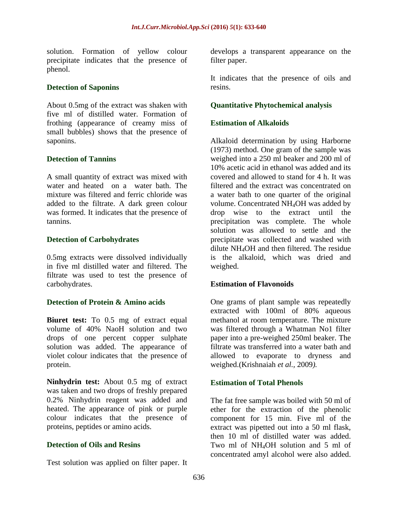precipitate indicates that the presence of filter paper. phenol. **Example 20** is the contract of the contract of the contract of the contract of the contract of the contract of the contract of the contract of the contract of the contract of the contract of the contract of the co

### **Detection of Saponins** resins.

About 0.5mg of the extract was shaken with five ml of distilled water. Formation of frothing (appearance of creamy miss of small bubbles) shows that the presence of

A small quantity of extract was mixed with water and heated on a water bath. The was formed. It indicates that the presence of

0.5mg extracts were dissolved individually in five ml distilled water and filtered. The filtrate was used to test the presence of carbohydrates. **Estimation of Flavonoids**

**Biuret test:** To 0.5 mg of extract equal methanol at room temperature. The mixture volume of 40% NaoH solution and two was filtered through a Whatman No1 filter drops of one percent copper sulphate solution was added. The appearance of violet colour indicates that the presence of allowed to evaporate to dryness and protein. weighed.(Krishnaiah *et al.,* 2009*).*

**Ninhydrin test:** About 0.5 mg of extract was taken and two drops of freshly prepared 0.2% Ninhydrin reagent was added and The fat free sample was boiled with 50 ml of heated. The appearance of pink or purple ether for the extraction of the phenolic colour indicates that the presence of component for 15 min. Five ml of the

Test solution was applied on filter paper. It

solution. Formation of yellow colour develops a transparent appearance on the filter paper.

> It indicates that the presence of oils and resins.

### **Quantitative Phytochemical analysis**

### **Estimation of Alkaloids**

saponins. Alkaloid determination by using Harborne **Detection of Tannins** weighed into a 250 ml beaker and 200 ml of mixture was filtered and ferric chloride was a water bath to one quarter of the original added to the filtrate. A dark green colour volume. Concentrated NH<sub>4</sub>OH was added by tannins. precipitation was complete. The whole **Detection of Carbohydrates precipitate was collected and washed with** (1973) method. One gram of the sample was 10% acetic acid in ethanol was added and its covered and allowed to stand for 4 h. It was filtered and the extract was concentrated on drop wise to the extract until the solution was allowed to settle and the dilute NH4OH and then filtered. The residue is the alkaloid, which was dried and weighed.

**Detection of Protein & Amino acids** One grams of plant sample was repeatedly extracted with 100ml of 80% aqueous paper into a pre-weighed 250ml beaker. The filtrate was transferred into a water bath and

### **Estimation of Total Phenols**

proteins, peptides or amino acids. extract was pipetted out into a 50 ml flask, **Detection of Oils and Resins** Two ml of NH<sub>4</sub>OH solution and 5 ml of then 10 ml of distilled water was added. concentrated amyl alcohol were also added.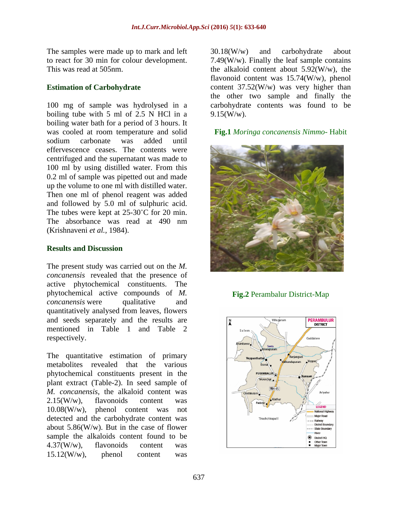The samples were made up to mark and left  $30.18$ (W/w) and carbohydrate about

100 mg of sample was hydrolysed in a carbohydrate contents was found to be boiling tube with 5 ml of 2.5 N HCl in a  $9.15$  (W/w). boiling water bath for a period of 3 hours. It was cooled at room temperature and solid **Fig.1** *Moringa concanensis Nimmo*- Habit effervescence ceases. The contents were centrifuged and the supernatant was made to 100 ml by using distilled water. From this 0.2 ml of sample was pipetted out and made up the volume to one ml with distilled water. Then one ml of phenol reagent was added and followed by 5.0 ml of sulphuric acid. The tubes were kept at  $25{\text -}30^{\circ}$ C for 20 min. (Krishnaveni *et al.,* 1984).

The present study was carried out on the *M. concanensis* revealed that the presence of active phytochemical constituents. The phytochemical active compounds of *M. concanensis* were qualitative and quantitatively analysed from leaves, flowers and seeds separately and the results are  $\frac{N}{4}$ mentioned in Table 1 and Table 2  $\int_{\text{same}}$ respectively.

The quantitative estimation of primary metabolites revealed that the various phytochemical constituents present in the present of the strategy of the strategy of  $\mathbb{R}$ plant extract (Table-2). In seed sample of *M. concanensis*, the alkaloid content was  $\frac{|\mathbf{M}|^2}{\text{Cylent}_\text{relum}}$  $2.15(W/w)$ , flavonoids content was  $\left| \int_{\mathbb{R}^{\text{Padalibr}}} \int_{\mathbb{R}^{\text{Aladhur}}} dV$  $10.08(W/w)$ , phenol content was not detected and the carbohydrate content was  $\overline{u}_{\text{luctchitapall}}$  $a$ bout 5.86(W/w). But in the case of flower sample the alkaloids content found to be  $\frac{1}{2}$  $4.37(W/w)$ , flavonoids content was  $15.12$ (W/w), phenol content was

to react for 30 min for colour development. 7.49(W/w). Finally the leaf sample contains This was read at 505nm. the alkaloid content about 5.92(W/w), the **Estimation of Carbohydrate** content 37.52(W/w) was very higher than 30.18(W/w) and carbohydrate about flavonoid content was 15.74(W/w), phenol the other two sample and finally the  $9.15(W/w)$ .



**Fig.2** Perambalur District-Map

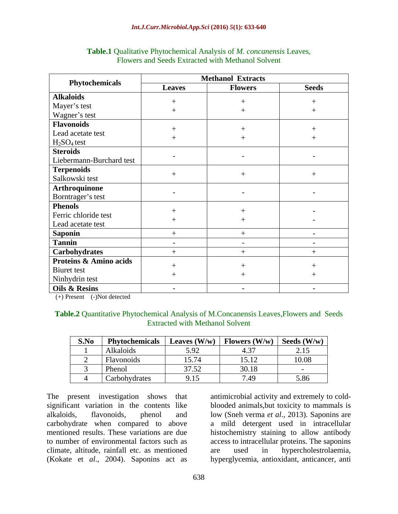|                                   | <b>Methanol Extracts</b> |                |                          |
|-----------------------------------|--------------------------|----------------|--------------------------|
| Phytochemicals                    | <b>Leaves</b>            | <b>Flowers</b> | <b>Seeds</b>             |
| <b>Alkaloids</b>                  |                          |                |                          |
| Mayer's test<br>Wagner's test     |                          |                |                          |
|                                   |                          |                |                          |
| <b>Flavonoids</b>                 |                          |                |                          |
| Lead acetate test                 |                          |                |                          |
| $H_2SO_4$ test                    |                          |                |                          |
| <b>Steroids</b>                   |                          |                |                          |
| Liebermann-Burchard test          | $\overline{\phantom{0}}$ | $\sim$         | $\sim$ $-$               |
| Terpenoids                        |                          |                |                          |
| Salkowski test                    |                          |                |                          |
| Arthroquinone                     |                          |                |                          |
| Borntrager's test                 | $\overline{\phantom{a}}$ | $\sim$         | $\sim$                   |
| <b>Phenols</b>                    |                          |                |                          |
| Ferric chloride test              |                          |                | $\sim$                   |
| Lead acetate test                 |                          |                | $\overline{\phantom{0}}$ |
| <b>Saponin</b>                    |                          |                | $\sim$                   |
| Tannin                            | $\overline{\phantom{0}}$ | $\sim$         | $\sim$                   |
| Carbohydrates                     |                          |                |                          |
| <b>Proteins &amp; Amino acids</b> |                          |                |                          |
| Biuret test                       |                          |                |                          |
| Ninhydrin test                    |                          |                |                          |
| Oils & Resins                     | $\overline{\phantom{a}}$ | $\sim$         | $\sim$                   |

### **Table.1** Qualitative Phytochemical Analysis of *M. concanensis* Leaves, Flowers and Seeds Extracted with Methanol Solvent

(+) Present (-)Not detected

### **Table.2** Quantitative Phytochemical Analysis of M.Concanensis Leaves,Flowers and Seeds Extracted with Methanol Solvent

| S.No | <b>Phytochemicals</b> | Leaves $(W/w)$                                    | $\blacksquare$ Flowers (W/w) $\blacksquare$ | Seeds $(W/w)$ |
|------|-----------------------|---------------------------------------------------|---------------------------------------------|---------------|
|      | Alkaloids             | 5.92                                              | $\sqrt{2}$<br>ن -                           | 2.15          |
|      | Flavonoids            | 15.74                                             | 15.12                                       | 10.08         |
|      | Phenol                | 3752<br>1.32                                      | 30.18                                       |               |
|      | Carbohydrates         | $\sim$ $\sim$ $\sim$<br>$\lambda \cdot 1 \lambda$ | 7.49                                        | 5.86          |

The present investigation shows that antimicrobial activity and extremely to cold significant variation in the contents like blooded animals,but toxicity to mammals is alkaloids, flavonoids, phenol and low (Sneh verma *et al*., 2013). Saponins are carbohydrate when compared to above a mild detergent used in intracellular mentioned results. These variations are due histochemistry staining to allow antibody to number of environmental factors such as access to intracellular proteins. The saponins climate, altitude, rainfall etc. as mentioned

(Kokate et *al*., 2004). Saponins act as hyperglycemia, antioxidant, anticancer, antiare used in hypercholestrolaemia,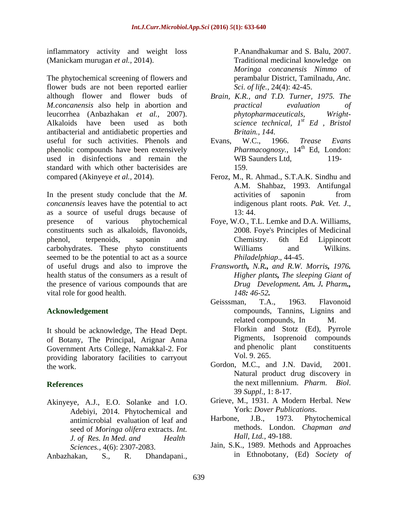inflammatory activity and weight loss (Manickam murugan *et al.,* 2014). Traditional medicinal knowledge on

The phytochemical screening of flowers and flower buds are not been reported earlier although flower and flower buds of *M.concanensis* also help in abortion and leucorrhea (Anbazhakan *et al.,* 2007). Alkaloids have been used as both antibacterial and antidiabetic properties and useful for such activities. Phenols and Evans, W.C., 1966. Trease Evans phenolic compounds have been extensively used in disinfections and remain the WB Saunders Ltd. 119standard with which other bacterisides are  $159$ . compared (Akinyeye *et al.,* 2014). Feroz, M., R. Ahmad., S.T.A.K. Sindhu and

In the present study conclude that the *M*. activities of saponin from *concanensis* leaves have the potential to act indigenous plant roots. Pak. Vet. J., as a source of useful drugs because of presence of various phytochemical Foye, W.O., T.L. Lemke and D.A. Williams, constituents such as alkaloids, flavonoids, phenol, terpenoids, saponin and Chemistry. 6th Ed Lippincott carbohydrates. These phyto constituents seemed to be the potential to act as a source of useful drugs and also to improve the *Fransworth, N.R., and R.W. Morris, 1976.* health status of the consumers as a result of the presence of various compounds that are vital role for good health. 148: 46-52.

It should be acknowledge, The Head Dept. of Botany, The Principal, Arignar Anna Pigments, Isoprenoid compounds<br>Government Arts College Namakkal-2 For and phenolic plant constituents Government Arts College, Namakkal-2. For and phenolic<br>providing Jahoratory facilities to carryout Vol. 9, 265. providing laboratory facilities to carryout Vol. 9. 265.<br>
Gordon, M.C., and J.N. David, 2001.

- Akinyeye, A.J., E.O. Solanke and I.O. Adebiyi, 2014. Phytochemical and **Example 19 York:** Dover Publications.<br>
antimicrobial evaluation of leaf and **Harbone.** J.B., 1973. Phytochemical antimicrobial evaluation of leaf and seed of *Moringa olifera* extracts. *Int. J. of Res. In Med. and Health Hall, Ltd.*, 49-188.
- Anbazhakan, S.*,* R. Dhandapani., in Ethnobotany, (Ed) *Society of*

P.Anandhakumar and S. Balu, 2007. *Moringa concanensis Nimmo* of perambalur District, Tamilnadu, *Anc. Sci. of life.*, 24(4): 42-45.

- *Brain, K.R., and T.D. Turner, 1975. The practical evaluation of*  $phy to pharmacelticals,$ *science technical, 1 st Ed , Bristol Britain., 144.*
- Evans, W.C., 1966. *Trease Evans* Pharmacognosy., 14<sup>th</sup> Ed, London: WB Saunders Ltd, 119-159.
- A.M. Shahbaz, 1993. Antifungal activities of saponin from indigenous plant roots. *Pak. Vet. <sup>J</sup>*., 13: 44.
- 2008. Foye's Principles of Medicinal Chemistry. 6th Ed Lippincott Williams and Wilkins. *Philadelphiap*., 44-45.
- *Higher plants, The sleeping Giant of Drug Development. Am. J. Pharm., 148: 46-52.*
- **Acknowledgement** compounds, Tannins, Lignins and Geisssman, T.A., 1963. Flavonoid related compounds, In M. Florkin and Stotz (Ed), Pyrrole Pigments, Isoprenoid compounds and phenolic plant constituents Vol. 9. 265.
- the work. Gordon, M.C., and J.N. David, 2001. **References** the next millennium. *Pharm. Biol.*<br>
39 *Suppl.*, 1: 8-17. Natural product drug discovery in
	- Grieve, M., 1931. A Modern Herbal. New York: *Dover Publications*.
	- Harbone, J.B., 1973. Phytochemical methods. London. *Chapman and Hall, Ltd.*, 49-188.
	- *Sciences.,* 4(6): 2307-2083. Jain, S.K., 1989. Methods and Approaches